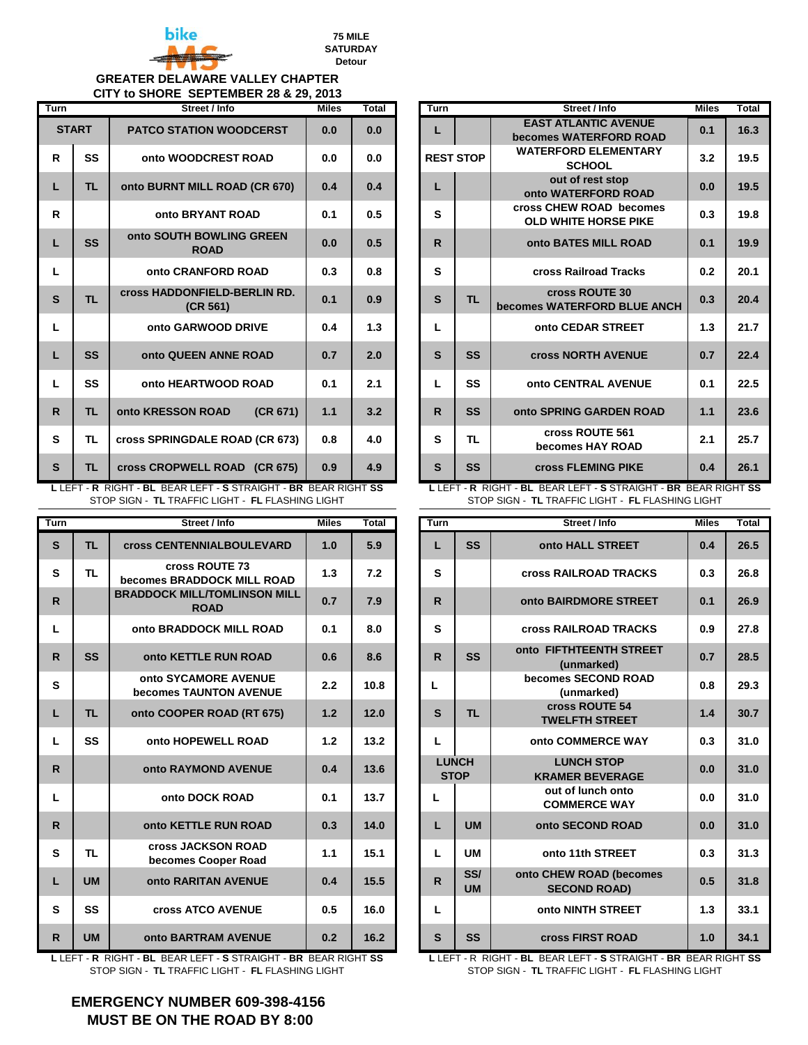

**75 MILE SATURDAY Detour** 

## **GREATER DELAWARE VALLEY CHAPTER CITY to SHORE SEPTEMBER 28 & 29, 2013**

| <b>Turn</b>  |              | Street / Info                                   | <b>Miles</b> | Total | Turn |                  | Street / Info                                          | <b>Miles</b> | Total |
|--------------|--------------|-------------------------------------------------|--------------|-------|------|------------------|--------------------------------------------------------|--------------|-------|
|              | <b>START</b> | <b>PATCO STATION WOODCERST</b>                  | 0.0          | 0.0   | L    |                  | <b>EAST ATLANTIC AVENUE</b><br>becomes WATERFORD ROAD  | 0.1          | 16.3  |
| R            | SS           | onto WOODCREST ROAD                             | 0.0          | 0.0   |      | <b>REST STOP</b> | <b>WATERFORD ELEMENTARY</b><br><b>SCHOOL</b>           | 3.2          | 19.5  |
| L            | <b>TL</b>    | onto BURNT MILL ROAD (CR 670)                   | 0.4          | 0.4   | L    |                  | out of rest stop<br>onto WATERFORD ROAD                | 0.0          | 19.5  |
| R.           |              | onto BRYANT ROAD                                | 0.1          | 0.5   | S    |                  | cross CHEW ROAD becomes<br><b>OLD WHITE HORSE PIKE</b> | 0.3          | 19.8  |
|              | <b>SS</b>    | onto SOUTH BOWLING GREEN<br><b>ROAD</b>         | 0.0          | 0.5   | R.   |                  | onto BATES MILL ROAD                                   | 0.1          | 19.9  |
| L.           |              | onto CRANFORD ROAD                              | 0.3          | 0.8   | S    |                  | cross Railroad Tracks                                  | 0.2          | 20.1  |
| $\mathbf{s}$ | <b>TL</b>    | <b>cross HADDONFIELD-BERLIN RD.</b><br>(CR 561) | 0.1          | 0.9   | S    | <b>TL</b>        | cross ROUTE 30<br>becomes WATERFORD BLUE ANCH          | 0.3          | 20.4  |
| L            |              | onto GARWOOD DRIVE                              | 0.4          | 1.3   | L    |                  | onto CEDAR STREET                                      | 1.3          | 21.7  |
| €            | <b>SS</b>    | onto QUEEN ANNE ROAD                            | 0.7          | 2.0   | S    | <b>SS</b>        | <b>cross NORTH AVENUE</b>                              | 0.7          | 22.4  |
| L            | SS           | onto HEARTWOOD ROAD                             | 0.1          | 2.1   | L    | <b>SS</b>        | onto CENTRAL AVENUE                                    | 0.1          | 22.5  |
| R.           | <b>TL</b>    | (CR 671)<br>onto KRESSON ROAD                   | 1.1          | 3.2   | R.   | <b>SS</b>        | onto SPRING GARDEN ROAD                                | 1.1          | 23.6  |
| S            | <b>TL</b>    | cross SPRINGDALE ROAD (CR 673)                  | 0.8          | 4.0   | S    | <b>TL</b>        | cross ROUTE 561<br>becomes HAY ROAD                    | 2.1          | 25.7  |
| S            | TL.          | cross CROPWELL ROAD (CR 675)                    | 0.9          | 4.9   | S    | <b>SS</b>        | <b>cross FLEMING PIKE</b>                              | 0.4          | 26.1  |

**L** LEFT - **R** RIGHT - **BL** BEAR LEFT - **S** STRAIGHT - **BR** BEAR RIGHT **SS**  STOP SIGN - **TL** TRAFFIC LIGHT - **FL** FLASHING LIGHT

| <b>Turn</b>  |           | Street / Info                                      | <b>Miles</b> | Total | Turn |                             | Street / Info                                  | <b>Miles</b> | Total |
|--------------|-----------|----------------------------------------------------|--------------|-------|------|-----------------------------|------------------------------------------------|--------------|-------|
| S            | <b>TL</b> | <b>cross CENTENNIALBOULEVARD</b>                   | 1.0          | 5.9   | L    | <b>SS</b>                   | onto HALL STREET                               | 0.4          | 26.5  |
| S            | <b>TL</b> | cross ROUTE 73<br>becomes BRADDOCK MILL ROAD       | 1.3          | 7.2   | S    |                             | <b>Cross RAILROAD TRACKS</b>                   | 0.3          | 26.8  |
| $\mathsf{R}$ |           | <b>BRADDOCK MILL/TOMLINSON MILL</b><br><b>ROAD</b> | 0.7          | 7.9   | R.   |                             | onto BAIRDMORE STREET                          | 0.1          | 26.9  |
| L.           |           | onto BRADDOCK MILL ROAD                            | 0.1          | 8.0   | S    |                             | <b>Cross RAILROAD TRACKS</b>                   | 0.9          | 27.8  |
| R.           | <b>SS</b> | onto KETTLE RUN ROAD                               | 0.6          | 8.6   | R.   | <b>SS</b>                   | onto FIFTHTEENTH STREET<br>(unmarked)          | 0.7          | 28.5  |
| S            |           | onto SYCAMORE AVENUE<br>becomes TAUNTON AVENUE     | 2.2          | 10.8  | L    |                             | becomes SECOND ROAD<br>(unmarked)              | 0.8          | 29.3  |
| L            | <b>TL</b> | onto COOPER ROAD (RT 675)                          | 1.2          | 12.0  | S    | <b>TL</b>                   | cross ROUTE 54<br><b>TWELFTH STREET</b>        | 1.4          | 30.7  |
| L.           | <b>SS</b> | onto HOPEWELL ROAD                                 | 1.2          | 13.2  | L    |                             | onto COMMERCE WAY                              | 0.3          | 31.0  |
| R.           |           | <b>onto RAYMOND AVENUE</b>                         | 0.4          | 13.6  |      | <b>LUNCH</b><br><b>STOP</b> | <b>LUNCH STOP</b><br><b>KRAMER BEVERAGE</b>    | 0.0          | 31.0  |
| L            |           | onto DOCK ROAD                                     | 0.1          | 13.7  | L    |                             | out of lunch onto<br><b>COMMERCE WAY</b>       | 0.0          | 31.0  |
| R.           |           | onto KETTLE RUN ROAD                               | 0.3          | 14.0  | L    | <b>UM</b>                   | onto SECOND ROAD                               | 0.0          | 31.0  |
| S            | <b>TL</b> | <b>cross JACKSON ROAD</b><br>becomes Cooper Road   | 1.1          | 15.1  | L    | <b>UM</b>                   | onto 11th STREET                               | 0.3          | 31.3  |
| €            | <b>UM</b> | onto RARITAN AVENUE                                | 0.4          | 15.5  | R.   | SS/<br><b>UM</b>            | onto CHEW ROAD (becomes<br><b>SECOND ROAD)</b> | 0.5          | 31.8  |
| S            | SS        | <b>cross ATCO AVENUE</b>                           | 0.5          | 16.0  | L    |                             | onto NINTH STREET                              | 1.3          | 33.1  |
| R.           | <b>UM</b> | <b>onto BARTRAM AVENUE</b>                         | 0.2          | 16.2  | S    | <b>SS</b>                   | <b>cross FIRST ROAD</b>                        | 1.0          | 34.1  |

**L** LEFT - **R** RIGHT - **BL** BEAR LEFT - **S** STRAIGHT - **BR** BEAR RIGHT **SS**  STOP SIGN - **TL** TRAFFIC LIGHT - **FL** FLASHING LIGHT

| rreer / mno                           | MILES | ι οται |                  | i urn |           | Street / Inio                                          | mnes | ι οται |
|---------------------------------------|-------|--------|------------------|-------|-----------|--------------------------------------------------------|------|--------|
| <b>TION WOODCERST</b>                 | 0.0   | 0.0    |                  | L     |           | <b>EAST ATLANTIC AVENUE</b><br>becomes WATERFORD ROAD  | 0.1  | 16.3   |
| <b>ODCREST ROAD</b>                   | 0.0   | 0.0    | <b>REST STOP</b> |       |           | <b>WATERFORD ELEMENTARY</b><br><b>SCHOOL</b>           | 3.2  | 19.5   |
| MILL ROAD (CR 670)                    | 0.4   | 0.4    |                  | L     |           | out of rest stop<br>onto WATERFORD ROAD                | 0.0  | 19.5   |
| <b>BRYANT ROAD</b>                    | 0.1   | 0.5    |                  | S     |           | cross CHEW ROAD becomes<br><b>OLD WHITE HORSE PIKE</b> | 0.3  | 19.8   |
| <b>H BOWLING GREEN</b><br><b>ROAD</b> | 0.0   | 0.5    |                  | R.    |           | onto BATES MILL ROAD                                   | 0.1  | 19.9   |
| ANFORD ROAD!                          | 0.3   | 0.8    |                  | S     |           | cross Railroad Tracks                                  | 0.2  | 20.1   |
| <b>ONFIELD-BERLIN RD.</b><br>(CR 561) | 0.1   | 0.9    |                  | S     | <b>TL</b> | cross ROUTE 30<br>becomes WATERFORD BLUE ANCH          | 0.3  | 20.4   |
| <b>IRWOOD DRIVE</b>                   | 0.4   | 1.3    |                  | L     |           | onto CEDAR STREET                                      | 1.3  | 21.7   |
| <b>EEN ANNE ROAD</b>                  | 0.7   | 2.0    |                  | S     | <b>SS</b> | <b>Cross NORTH AVENUE</b>                              | 0.7  | 22.4   |
| <b>ARTWOOD ROAD</b>                   | 0.1   | 2.1    |                  | L     | SS        | onto CENTRAL AVENUE                                    | 0.1  | 22.5   |
| <b>N ROAD</b><br>(CR 671)             | 1.1   | 3.2    |                  | R.    | <b>SS</b> | onto SPRING GARDEN ROAD                                | 1.1  | 23.6   |
| <b>DALE ROAD (CR 673)</b>             | 0.8   | 4.0    |                  | S     | <b>TL</b> | cross ROUTE 561<br>becomes HAY ROAD                    | 2.1  | 25.7   |
| VELL ROAD (CR 675)                    | 0.9   | 4.9    |                  | S     | <b>SS</b> | <b>cross FLEMING PIKE</b>                              | 0.4  | 26.1   |

**L** LEFT - **R** RIGHT - **BL** BEAR LEFT - **S** STRAIGHT - **BR** BEAR RIGHT **SS**  STOP SIGN - **TL** TRAFFIC LIGHT - **FL** FLASHING LIGHT

| Street / Info                                     | <b>Miles</b> | Total | Turn                        |                  | Street / Info                                  | <b>Miles</b> | Total |
|---------------------------------------------------|--------------|-------|-----------------------------|------------------|------------------------------------------------|--------------|-------|
| <b>cross CENTENNIALBOULEVARD</b>                  | 1.0          | 5.9   | L                           | <b>SS</b>        | onto HALL STREET                               | 0.4          | 26.5  |
| cross ROUTE 73<br>becomes BRADDOCK MILL ROAD      | 1.3          | 7.2   | S                           |                  | <b>Cross RAILROAD TRACKS</b>                   | 0.3          | 26.8  |
| <b>RADDOCK MILL/TOMLINSON MILL</b><br><b>ROAD</b> | 0.7          | 7.9   | $\mathsf{R}$                |                  | onto BAIRDMORE STREET                          | 0.1          | 26.9  |
| onto BRADDOCK MILL ROAD                           | 0.1          | 8.0   | S                           |                  | <b>Cross RAILROAD TRACKS</b>                   | 0.9          | 27.8  |
| onto KETTLE RUN ROAD                              | 0.6          | 8.6   | $\mathsf{R}$                | <b>SS</b>        | onto FIFTHTEENTH STREET<br>(unmarked)          | 0.7          | 28.5  |
| onto SYCAMORE AVENUE<br>becomes TAUNTON AVENUE    | 2.2          | 10.8  | L                           |                  | becomes SECOND ROAD<br>(unmarked)              | 0.8          | 29.3  |
| onto COOPER ROAD (RT 675)                         | 1.2          | 12.0  | S                           | <b>TL</b>        | cross ROUTE 54<br><b>TWELFTH STREET</b>        | 1.4          | 30.7  |
| onto HOPEWELL ROAD                                | 1.2          | 13.2  | Г                           |                  | onto COMMERCE WAY                              | 0.3          | 31.0  |
| onto RAYMOND AVENUE                               | 0.4          | 13.6  | <b>LUNCH</b><br><b>STOP</b> |                  | <b>LUNCH STOP</b><br><b>KRAMER BEVERAGE</b>    | 0.0          | 31.0  |
| onto DOCK ROAD                                    | 0.1          | 13.7  | L                           |                  | out of lunch onto<br><b>COMMERCE WAY</b>       | 0.0          | 31.0  |
| onto KETTLE RUN ROAD                              | 0.3          | 14.0  | L                           | <b>UM</b>        | onto SECOND ROAD                               | 0.0          | 31.0  |
| <b>Cross JACKSON ROAD</b><br>becomes Cooper Road  | 1.1          | 15.1  | L                           | <b>UM</b>        | onto 11th STREET                               | 0.3          | 31.3  |
| onto RARITAN AVENUE                               | 0.4          | 15.5  | $\mathsf{R}$                | SS/<br><b>UM</b> | onto CHEW ROAD (becomes<br><b>SECOND ROAD)</b> | 0.5          | 31.8  |
| <b>cross ATCO AVENUE</b>                          | 0.5          | 16.0  | L                           |                  | onto NINTH STREET                              | 1.3          | 33.1  |
| <b>onto BARTRAM AVENUE</b>                        | 0.2          | 16.2  | S                           | SS               | <b>cross FIRST ROAD</b>                        | 1.0          | 34.1  |

**L** LEFT - R RIGHT - **BL** BEAR LEFT - **S** STRAIGHT - **BR** BEAR RIGHT **SS**  STOP SIGN - **TL** TRAFFIC LIGHT - **FL** FLASHING LIGHT